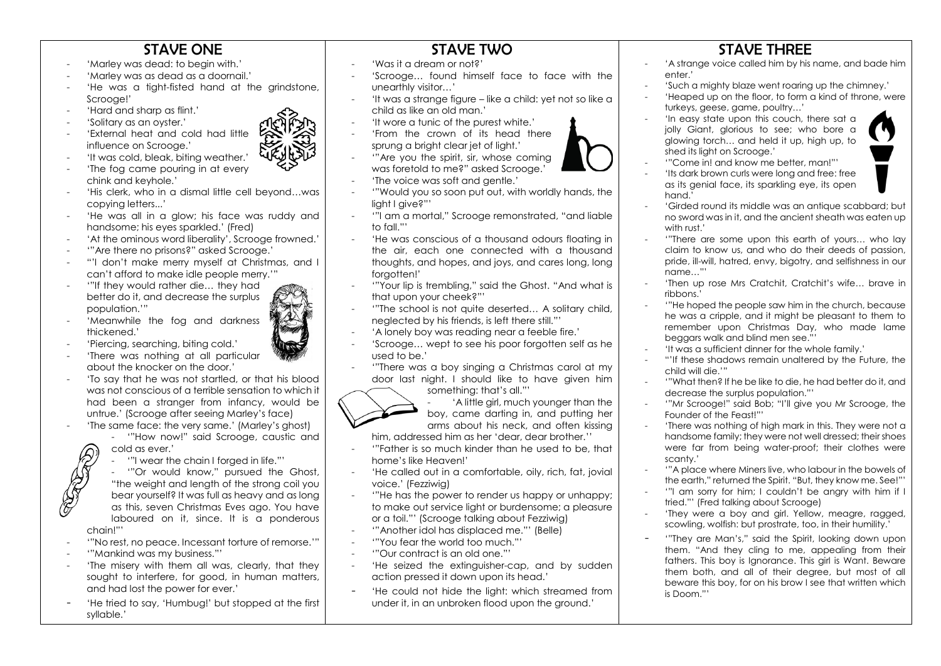## STAVE ONE

- 'Marley was dead: to begin with.'
- 'Marley was as dead as a doornail.'
- 'He was a tight-fisted hand at the grindstone, Scrooge!'
- 'Hard and sharp as flint.'
- 'Solitary as an oyster.'
- 'External heat and cold had little influence on Scrooge.'
- 'It was cold, bleak, biting weather.'
- 'The fog came pouring in at every chink and keyhole.'
- 'His clerk, who in a dismal little cell beyond…was copying letters...'
- 'He was all in a glow; his face was ruddy and handsome; his eyes sparkled.' (Fred)
- 'At the ominous word liberality', Scrooge frowned.'
- '"Are there no prisons?" asked Scrooge.'
- "'I don't make merry myself at Christmas, and I can't afford to make idle people merry.'"
- '"If they would rather die... they had better do it, and decrease the surplus population.'"
- 'Meanwhile the foa and darkness thickened.'
- 'Piercing, searching, biting cold.'
- 'There was nothing at all particular about the knocker on the door.'
- 'To say that he was not startled, or that his blood was not conscious of a terrible sensation to which it had been a stranger from infancy, would be untrue.' (Scrooge after seeing Marley's face)
- 'The same face: the very same.' (Marley's ahost)
	- '"How now!" said Scrooge, caustic and cold as ever.'
		- '"I wear the chain I forged in life."'

- '"Or would know," pursued the Ghost, "the weight and length of the strong coil you bear yourself? It was full as heavy and as long as this, seven Christmas Eves ago. You have laboured on it, since. It is a ponderous

- chain!"'
- '"No rest, no peace. Incessant torture of remorse.'"
- '"Mankind was my business."'
- 'The misery with them all was, clearly, that they sought to interfere, for good, in human matters, and had lost the power for ever.'
- 'He tried to say, 'Humbug!' but stopped at the first syllable.'

## STAVE TWO

- 'Was it a dream or not?'
- 'Scrooge... found himself face to face with the unearthly visitor…'
- 'It was a strange figure like a child: yet not so like a child as like an old man.'
- 'It wore a tunic of the purest white.'
- 'From the crown of its head there sprung a bright clear jet of light.'
- "'Are you the spirit, sir, whose coming was foretold to me?" asked Scrooge.'
- 'The voice was soft and gentle.'
- '"Would you so soon put out, with worldly hands, the light I give?"'
- '"I am a mortal," Scrooge remonstrated, "and liable to fall."'
- 'He was conscious of a thousand odours floating in the air, each one connected with a thousand thoughts, and hopes, and joys, and cares long, long forgotten!'
- '"Your lip is trembling," said the Ghost. "And what is that upon your cheek?"'
- '"The school is not quite deserted… A solitary child, neglected by his friends, is left there still."'
- 'A lonely boy was reading near a feeble fire.'
- 'Scrooge… wept to see his poor forgotten self as he used to be.'
- '"There was a boy singing a Christmas carol at my door last night. I should like to have given him something: that's all."'

- 'A little girl, much younger than the boy, came darting in, and putting her arms about his neck, and often kissing

him, addressed him as her 'dear, dear brother.''

- '"Father is so much kinder than he used to be, that home's like Heaven!'
- 'He called out in a comfortable, oily, rich, fat, jovial voice.' (Fezziwig)
- '"He has the power to render us happy or unhappy; to make out service light or burdensome; a pleasure or a toil."' (Scrooge talking about Fezziwig)
- '"Another idol has displaced me."' (Belle)
- '"You fear the world too much."'
- '"Our contract is an old one."'
- 'He seized the extinguisher-cap, and by sudden action pressed it down upon its head.'
- 'He could not hide the light: which streamed from under it, in an unbroken flood upon the ground.'

## STAVE THREE

- 'A strange voice called him by his name, and bade him enter.'
- 'Such a mighty blaze went roaring up the chimney.'
- 'Heaped up on the floor, to form a kind of throne, were turkeys, geese, game, poultry…'
- 'In easy state upon this couch, there sat a jolly Giant, glorious to see; who bore a glowing torch… and held it up, high up, to shed its light on Scrooge.'
- '"Come in! and know me better, man!"'
- 'Its dark brown curls were long and free: free as its genial face, its sparkling eye, its open hand<sup>'</sup>
- 'Girded round its middle was an antique scabbard; but no sword was in it, and the ancient sheath was eaten up with rust.'
- '"There are some upon this earth of yours… who lay claim to know us, and who do their deeds of passion, pride, ill-will, hatred, envy, bigotry, and selfishness in our name…"'
- 'Then up rose Mrs Cratchit, Cratchit's wife… brave in ribbons.'
- '"He hoped the people saw him in the church, because he was a cripple, and it might be pleasant to them to remember upon Christmas Day, who made lame beggars walk and blind men see."'
- 'It was a sufficient dinner for the whole family.'
- "'If these shadows remain unaltered by the Future, the child will die.'"
- '"What then? If he be like to die, he had better do it, and decrease the surplus population."'
- '"Mr Scrooge!" said Bob; "I'll give you Mr Scrooge, the Founder of the Feast!"'
- 'There was nothing of high mark in this. They were not a handsome family; they were not well dressed; their shoes were far from being water-proof; their clothes were scanty.'
- '"A place where Miners live, who labour in the bowels of the earth," returned the Spirit. "But, they know me. See!"'
- '"I am sorry for him; I couldn't be angry with him if I tried."' (Fred talking about Scrooge)
- 'They were a boy and girl. Yellow, meagre, ragged, scowling, wolfish: but prostrate, too, in their humility.'
- '"They are Man's," said the Spirit, looking down upon them. "And they cling to me, appealing from their fathers. This boy is Ignorance. This girl is Want. Beware them both, and all of their degree, but most of all beware this boy, for on his brow I see that written which is Doom."'